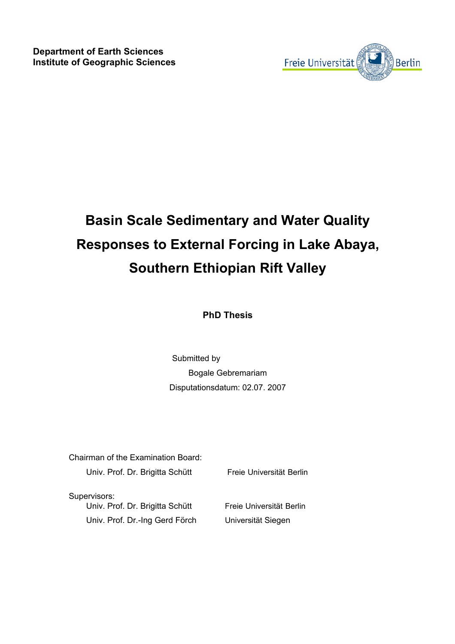

## **Basin Scale Sedimentary and Water Quality Responses to External Forcing in Lake Abaya, Southern Ethiopian Rift Valley**

**PhD Thesis**

Submitted by Bogale Gebremariam Disputationsdatum: 02.07. 2007

| Chairman of the Examination Board:                                                |                                                |  |  |  |  |  |
|-----------------------------------------------------------------------------------|------------------------------------------------|--|--|--|--|--|
| Univ. Prof. Dr. Brigitta Schütt                                                   | Freie Universität Berlin                       |  |  |  |  |  |
| Supervisors:<br>Univ. Prof. Dr. Brigitta Schütt<br>Univ. Prof. Dr.-Ing Gerd Förch | Freie Universität Berlin<br>Universität Siegen |  |  |  |  |  |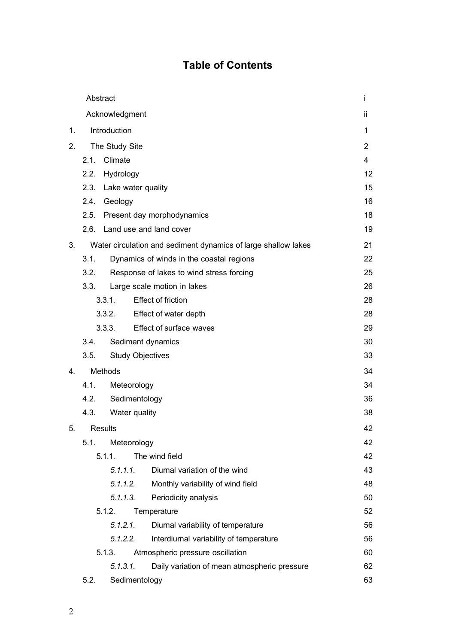## **Table of Contents**

|                                                                      | Abstract                            |                            |                                              |                |  |
|----------------------------------------------------------------------|-------------------------------------|----------------------------|----------------------------------------------|----------------|--|
|                                                                      | Acknowledgment                      |                            |                                              |                |  |
| 1.                                                                   | Introduction                        |                            |                                              |                |  |
| 2.                                                                   | The Study Site                      |                            |                                              | $\overline{2}$ |  |
|                                                                      | 2.1.                                | Climate                    |                                              | 4              |  |
|                                                                      | 2.2.                                | Hydrology                  |                                              | 12             |  |
|                                                                      | 2.3.                                | Lake water quality         |                                              | 15             |  |
|                                                                      | 2.4.                                | Geology                    |                                              |                |  |
|                                                                      | 2.5.                                | Present day morphodynamics |                                              |                |  |
|                                                                      | 2.6.<br>Land use and land cover     |                            |                                              |                |  |
| 3.<br>Water circulation and sediment dynamics of large shallow lakes |                                     |                            |                                              | 21             |  |
| 3.1.<br>Dynamics of winds in the coastal regions                     |                                     |                            |                                              | 22             |  |
|                                                                      | 3.2.                                |                            | Response of lakes to wind stress forcing     | 25             |  |
|                                                                      | 3.3.                                |                            | Large scale motion in lakes                  | 26             |  |
|                                                                      | <b>Effect of friction</b><br>3.3.1. |                            |                                              | 28             |  |
|                                                                      | Effect of water depth<br>3.3.2.     |                            |                                              | 28             |  |
|                                                                      | Effect of surface waves<br>3.3.3.   |                            | 29                                           |                |  |
|                                                                      | 3.4.                                |                            | Sediment dynamics                            | 30             |  |
|                                                                      | 3.5.                                |                            | <b>Study Objectives</b>                      | 33             |  |
| 4.                                                                   | Methods<br>4.1.<br>Meteorology      |                            |                                              | 34             |  |
|                                                                      |                                     |                            |                                              | 34             |  |
|                                                                      | 4.2.<br>Sedimentology               |                            |                                              |                |  |
|                                                                      | 4.3.                                | Water quality              |                                              | 38             |  |
| 5.                                                                   | <b>Results</b>                      |                            |                                              | 42             |  |
|                                                                      | 5.1.                                | Meteorology                |                                              | 42             |  |
|                                                                      |                                     | 5.1.1.                     | The wind field                               | 42             |  |
|                                                                      |                                     | 5.1.1.1.                   | Diurnal variation of the wind                | 43             |  |
|                                                                      |                                     | 5.1.1.2.                   | Monthly variability of wind field            | 48             |  |
|                                                                      |                                     | 5.1.1.3.                   | Periodicity analysis                         | 50             |  |
|                                                                      |                                     | 5.1.2.                     | Temperature                                  | 52             |  |
|                                                                      |                                     | 5.1.2.1.                   | Diurnal variability of temperature           | 56             |  |
|                                                                      |                                     | 5.1.2.2.                   | Interdiurnal variability of temperature      | 56             |  |
|                                                                      |                                     | 5.1.3.                     | Atmospheric pressure oscillation             | 60             |  |
|                                                                      |                                     | 5.1.3.1.                   | Daily variation of mean atmospheric pressure | 62             |  |
|                                                                      | 5.2.                                | Sedimentology              |                                              | 63             |  |